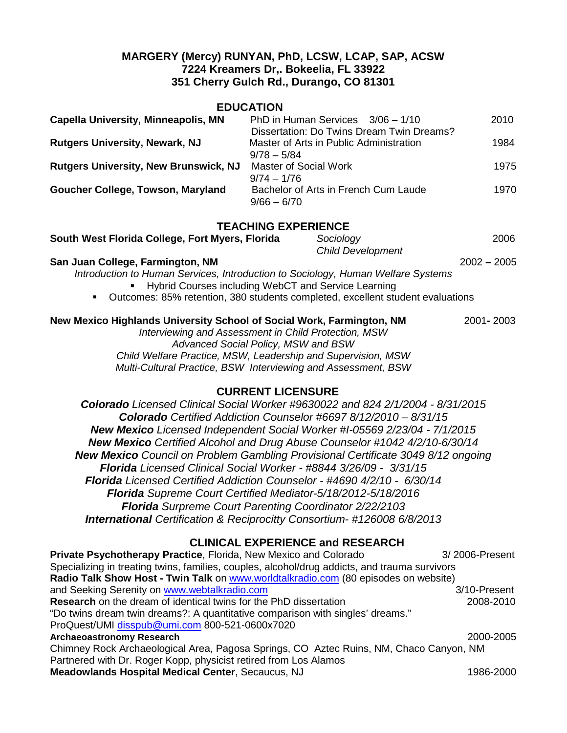## **MARGERY (Mercy) RUNYAN, PhD, LCSW, LCAP, SAP, ACSW 7224 Kreamers Dr,. Bokeelia, FL 33922 351 Cherry Gulch Rd., Durango, CO 81301**

### **EDUCATION**

| <b>Capella University, Minneapolis, MN</b>   | PhD in Human Services $3/06 - 1/10$                   | 2010 |
|----------------------------------------------|-------------------------------------------------------|------|
|                                              | Dissertation: Do Twins Dream Twin Dreams?             |      |
| <b>Rutgers University, Newark, NJ</b>        | Master of Arts in Public Administration               | 1984 |
|                                              | $9/78 - 5/84$                                         |      |
| <b>Rutgers University, New Brunswick, NJ</b> | <b>Master of Social Work</b>                          | 1975 |
|                                              | $9/74 - 1/76$                                         |      |
| Goucher College, Towson, Maryland            | Bachelor of Arts in French Cum Laude<br>$9/66 - 6/70$ | 1970 |
|                                              |                                                       |      |

## **TEACHING EXPERIENCE**

| South West Florida College, Fort Myers, Florida                                                  | Sociology                | 2006          |
|--------------------------------------------------------------------------------------------------|--------------------------|---------------|
|                                                                                                  | <b>Child Development</b> |               |
| San Juan College, Farmington, NM                                                                 |                          | $2002 - 2005$ |
| Introduction to Human Services, Introduction to Sociology, Human Welfare Systems                 |                          |               |
| • Hybrid Courses including WebCT and Service Learning                                            |                          |               |
| Outcomes: 85% retention, 380 students completed, excellent student evaluations<br>$\blacksquare$ |                          |               |
| New Mexico Highlands University School of Social Work, Farmington, NM                            |                          | 2001-2003     |
| Interviewing and Assessment in Child Protection, MSW                                             |                          |               |
| Advanced Social Policy, MSW and BSW                                                              |                          |               |
| Child Welfare Practice, MSW, Leadership and Supervision, MSW                                     |                          |               |

*Multi-Cultural Practice, BSW Interviewing and Assessment, BSW*

## **CURRENT LICENSURE**

*Colorado Licensed Clinical Social Worker #9630022 and 824 2/1/2004 - 8/31/2015 Colorado Certified Addiction Counselor #6697 8/12/2010 – 8/31/15 New Mexico Licensed Independent Social Worker #I-05569 2/23/04 - 7/1/2015 New Mexico Certified Alcohol and Drug Abuse Counselor #1042 4/2/10-6/30/14 New Mexico Council on Problem Gambling Provisional Certificate 3049 8/12 ongoing Florida Licensed Clinical Social Worker - #8844 3/26/09 - 3/31/15 Florida Licensed Certified Addiction Counselor - #4690 4/2/10 - 6/30/14 Florida Supreme Court Certified Mediator-5/18/2012-5/18/2016 Florida Surpreme Court Parenting Coordinator 2/22/2103 International Certification & Reciprocitty Consortium- #126008 6/8/2013*

# **CLINICAL EXPERIENCE and RESEARCH**

| Private Psychotherapy Practice, Florida, New Mexico and Colorado                              | 3/2006-Present |  |  |  |
|-----------------------------------------------------------------------------------------------|----------------|--|--|--|
| Specializing in treating twins, families, couples, alcohol/drug addicts, and trauma survivors |                |  |  |  |
| Radio Talk Show Host - Twin Talk on www.worldtalkradio.com (80 episodes on website)           |                |  |  |  |
| and Seeking Serenity on www.webtalkradio.com                                                  | 3/10-Present   |  |  |  |
| <b>Research</b> on the dream of identical twins for the PhD dissertation                      | 2008-2010      |  |  |  |
| "Do twins dream twin dreams?: A quantitative comparison with singles' dreams."                |                |  |  |  |
| ProQuest/UMI disspub@umi.com 800-521-0600x7020                                                |                |  |  |  |
| <b>Archaeoastronomy Research</b>                                                              | 2000-2005      |  |  |  |
| Chimney Rock Archaeological Area, Pagosa Springs, CO Aztec Ruins, NM, Chaco Canyon, NM        |                |  |  |  |
| Partnered with Dr. Roger Kopp, physicist retired from Los Alamos                              |                |  |  |  |
| <b>Meadowlands Hospital Medical Center, Secaucus, NJ</b>                                      | 1986-2000      |  |  |  |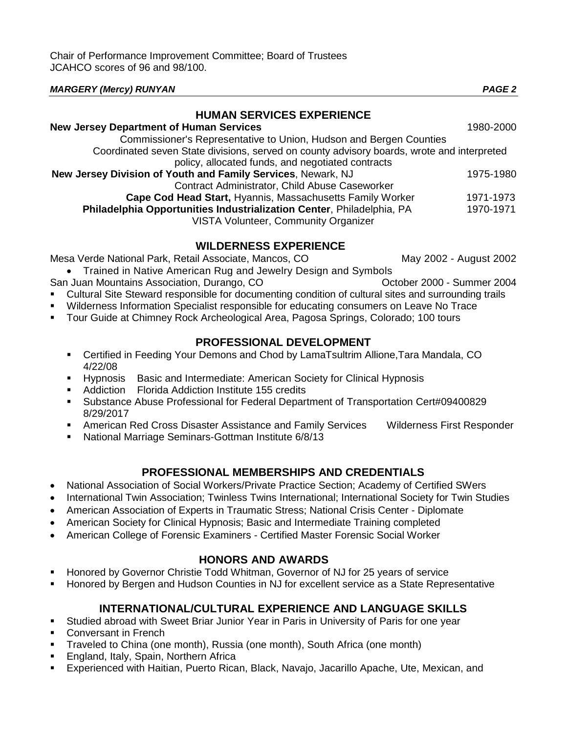| <b>MARGERY (Mercy) RUNYAN</b>                                                              | <b>PAGE 2</b> |
|--------------------------------------------------------------------------------------------|---------------|
| <b>HUMAN SERVICES EXPERIENCE</b>                                                           |               |
| <b>New Jersey Department of Human Services</b>                                             | 1980-2000     |
| Commissioner's Representative to Union, Hudson and Bergen Counties                         |               |
| Coordinated seven State divisions, served on county advisory boards, wrote and interpreted |               |
| policy, allocated funds, and negotiated contracts                                          |               |
| New Jersey Division of Youth and Family Services, Newark, NJ                               | 1975-1980     |
| Contract Administrator, Child Abuse Caseworker                                             |               |
| Cape Cod Head Start, Hyannis, Massachusetts Family Worker                                  | 1971-1973     |
| Philadelphia Opportunities Industrialization Center, Philadelphia, PA                      | 1970-1971     |
| VISTA Volunteer, Community Organizer                                                       |               |

## **WILDERNESS EXPERIENCE**

Mesa Verde National Park, Retail Associate, Mancos, CO May 2002 - August 2002

• Trained in Native American Rug and Jewelry Design and Symbols San Juan Mountains Association, Durango, CO **COLL CONCOCOL** COCTOBER 2000 - Summer 2004

- Cultural Site Steward responsible for documenting condition of cultural sites and surrounding trails
- Wilderness Information Specialist responsible for educating consumers on Leave No Trace
- Tour Guide at Chimney Rock Archeological Area, Pagosa Springs, Colorado; 100 tours

## **PROFESSIONAL DEVELOPMENT**

- Certified in Feeding Your Demons and Chod by LamaTsultrim Allione,Tara Mandala, CO 4/22/08
- **Hypnosis** Basic and Intermediate: American Society for Clinical Hypnosis
- **Addiction** Florida Addiction Institute 155 credits
- Substance Abuse Professional for Federal Department of Transportation Cert#09400829 8/29/2017
- **American Red Cross Disaster Assistance and Family Services Wilderness First Responder**
- National Marriage Seminars-Gottman Institute 6/8/13

# **PROFESSIONAL MEMBERSHIPS AND CREDENTIALS**

- National Association of Social Workers/Private Practice Section; Academy of Certified SWers
- International Twin Association; Twinless Twins International; International Society for Twin Studies
- American Association of Experts in Traumatic Stress; National Crisis Center Diplomate
- American Society for Clinical Hypnosis; Basic and Intermediate Training completed
- American College of Forensic Examiners Certified Master Forensic Social Worker

## **HONORS AND AWARDS**

- Honored by Governor Christie Todd Whitman, Governor of NJ for 25 years of service
- Honored by Bergen and Hudson Counties in NJ for excellent service as a State Representative

# **INTERNATIONAL/CULTURAL EXPERIENCE AND LANGUAGE SKILLS**

- Studied abroad with Sweet Briar Junior Year in Paris in University of Paris for one year
- Conversant in French
- Traveled to China (one month), Russia (one month), South Africa (one month)
- England, Italy, Spain, Northern Africa
- Experienced with Haitian, Puerto Rican, Black, Navajo, Jacarillo Apache, Ute, Mexican, and